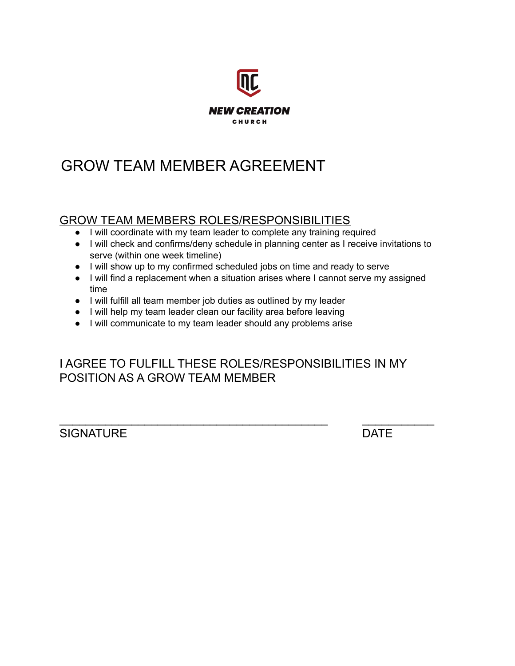

## GROW TEAM MEMBER AGREEMENT

## GROW TEAM MEMBERS ROLES/RESPONSIBILITIES

- I will coordinate with my team leader to complete any training required
- I will check and confirms/deny schedule in planning center as I receive invitations to serve (within one week timeline)
- I will show up to my confirmed scheduled jobs on time and ready to serve
- I will find a replacement when a situation arises where I cannot serve my assigned time
- I will fulfill all team member job duties as outlined by my leader
- I will help my team leader clean our facility area before leaving
- I will communicate to my team leader should any problems arise

I AGREE TO FULFILL THESE ROLES/RESPONSIBILITIES IN MY POSITION AS A GROW TEAM MEMBER

\_\_\_\_\_\_\_\_\_\_\_\_\_\_\_\_\_\_\_\_\_\_\_\_\_\_\_\_\_\_\_\_\_\_\_\_\_\_\_\_\_ \_\_\_\_\_\_\_\_\_\_\_

SIGNATURE DATE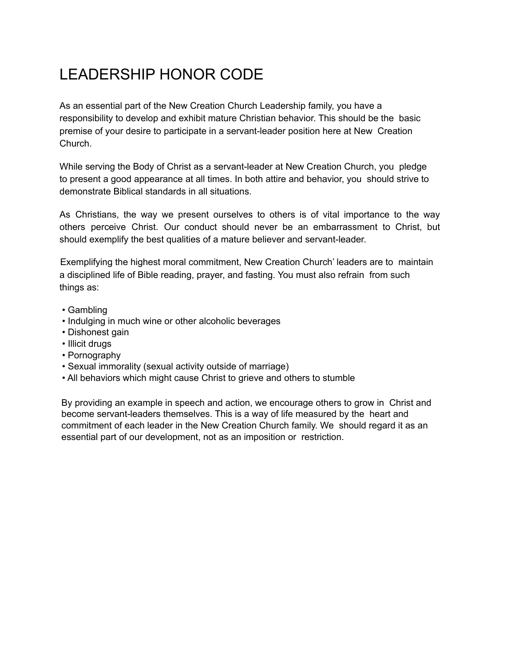## LEADERSHIP HONOR CODE

As an essential part of the New Creation Church Leadership family, you have a responsibility to develop and exhibit mature Christian behavior. This should be the basic premise of your desire to participate in a servant-leader position here at New Creation Church.

While serving the Body of Christ as a servant-leader at New Creation Church, you pledge to present a good appearance at all times. In both attire and behavior, you should strive to demonstrate Biblical standards in all situations.

As Christians, the way we present ourselves to others is of vital importance to the way others perceive Christ. Our conduct should never be an embarrassment to Christ, but should exemplify the best qualities of a mature believer and servant-leader.

Exemplifying the highest moral commitment, New Creation Church' leaders are to maintain a disciplined life of Bible reading, prayer, and fasting. You must also refrain from such things as:

- Gambling
- Indulging in much wine or other alcoholic beverages
- Dishonest gain
- Illicit drugs
- Pornography
- Sexual immorality (sexual activity outside of marriage)
- All behaviors which might cause Christ to grieve and others to stumble

By providing an example in speech and action, we encourage others to grow in Christ and become servant-leaders themselves. This is a way of life measured by the heart and commitment of each leader in the New Creation Church family. We should regard it as an essential part of our development, not as an imposition or restriction.